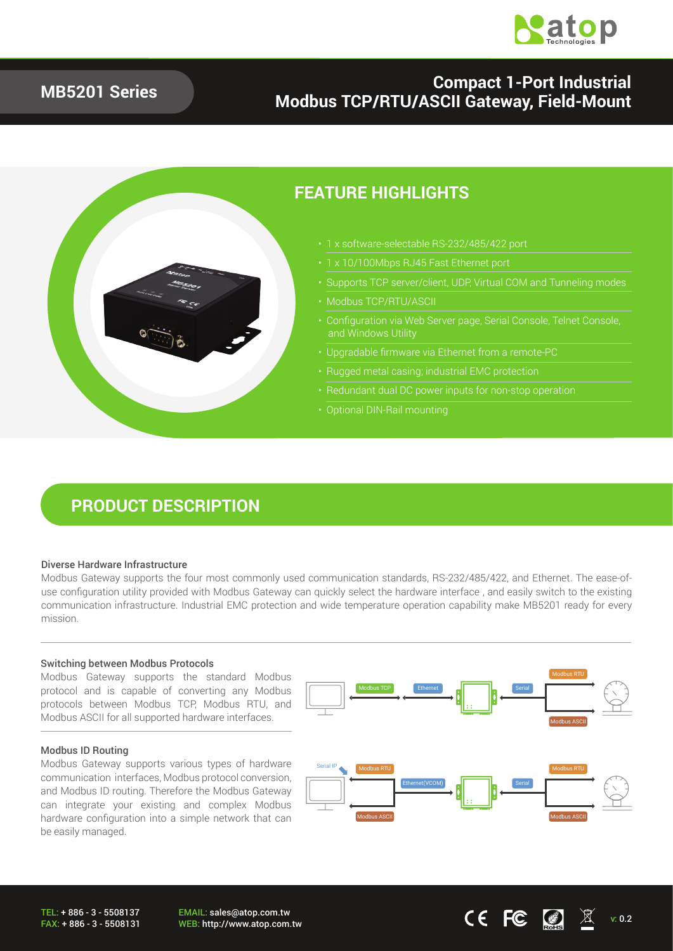

### **MB5201 Series**

## **Compact 1-Port Industrial Modbus TCP/RTU/ASCII Gateway, Field-Mount**



### **FEATURE HIGHLIGHTS**

- 1 x software-selectable RS-232/485/422 port
- 1 x 10/100Mbps RJ45 Fast Ethernet port
- Supports TCP server/client, UDP, Virtual COM and Tunneling modes
- Modbus TCP/RTU/ASCII
- 
- Upgradable firmware via Ethernet from a remote-PC
- Rugged metal casing; industrial EMC protection
- 
- 

## **PRODUCT DESCRIPTION**

#### Diverse Hardware Infrastructure

Modbus Gateway supports the four most commonly used communication standards, RS-232/485/422, and Ethernet. The ease-ofuse configuration utility provided with Modbus Gateway can quickly select the hardware interface , and easily switch to the existing communication infrastructure. Industrial EMC protection and wide temperature operation capability make MB5201 ready for every mission.

#### Switching between Modbus Protocols

Modbus Gateway supports the standard Modbus protocol and is capable of converting any Modbus protocols between Modbus TCP, Modbus RTU, and Modbus ASCII for all supported hardware interfaces.

#### Modbus ID Routing

Modbus Gateway supports various types of hardware communication interfaces, Modbus protocol conversion, and Modbus ID routing. Therefore the Modbus Gateway can integrate your existing and complex Modbus hardware configuration into a simple network that can be easily managed.



EMAIL: sales@atop.com.tw EMAIL: sales@atop.com.tw<br>WEB: http://www.atop.com.tw v: 0.2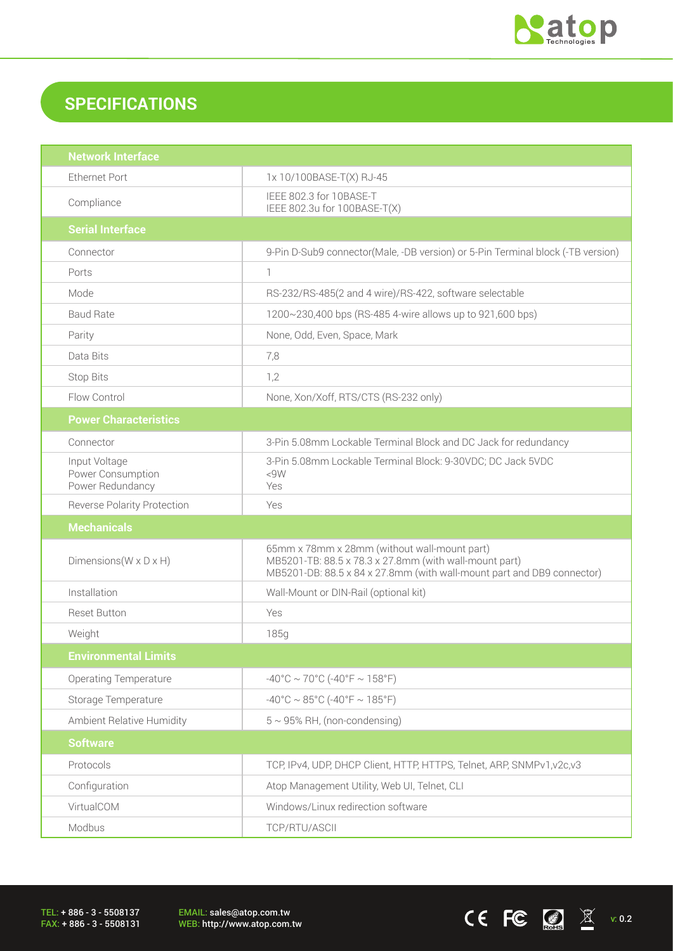

 $CE$  FC  $\boxed{3}$   $X$  v: 0.2

# **SPECIFICATIONS**

| <b>Network Interface</b>                               |                                                                                                                                                                                  |  |
|--------------------------------------------------------|----------------------------------------------------------------------------------------------------------------------------------------------------------------------------------|--|
| <b>Ethernet Port</b>                                   | 1x 10/100BASE-T(X) RJ-45                                                                                                                                                         |  |
| Compliance                                             | IEEE 802.3 for 10BASE-T<br>IEEE 802.3u for 100BASE-T(X)                                                                                                                          |  |
| <b>Serial Interface</b>                                |                                                                                                                                                                                  |  |
| Connector                                              | 9-Pin D-Sub9 connector(Male, -DB version) or 5-Pin Terminal block (-TB version)                                                                                                  |  |
| Ports                                                  | $\mathbb{1}$                                                                                                                                                                     |  |
| Mode                                                   | RS-232/RS-485(2 and 4 wire)/RS-422, software selectable                                                                                                                          |  |
| <b>Baud Rate</b>                                       | 1200~230,400 bps (RS-485 4-wire allows up to 921,600 bps)                                                                                                                        |  |
| Parity                                                 | None, Odd, Even, Space, Mark                                                                                                                                                     |  |
| Data Bits                                              | 7,8                                                                                                                                                                              |  |
| <b>Stop Bits</b>                                       | 1,2                                                                                                                                                                              |  |
| Flow Control                                           | None, Xon/Xoff, RTS/CTS (RS-232 only)                                                                                                                                            |  |
| <b>Power Characteristics</b>                           |                                                                                                                                                                                  |  |
| Connector                                              | 3-Pin 5.08mm Lockable Terminal Block and DC Jack for redundancy                                                                                                                  |  |
| Input Voltage<br>Power Consumption<br>Power Redundancy | 3-Pin 5.08mm Lockable Terminal Block: 9-30VDC; DC Jack 5VDC<br>< 9W<br>Yes                                                                                                       |  |
| <b>Reverse Polarity Protection</b>                     | Yes                                                                                                                                                                              |  |
| <b>Mechanicals</b>                                     |                                                                                                                                                                                  |  |
| Dimensions ( $W \times D \times H$ )                   | 65mm x 78mm x 28mm (without wall-mount part)<br>MB5201-TB: 88.5 x 78.3 x 27.8mm (with wall-mount part)<br>MB5201-DB: 88.5 x 84 x 27.8mm (with wall-mount part and DB9 connector) |  |
| Installation                                           | Wall-Mount or DIN-Rail (optional kit)                                                                                                                                            |  |
| <b>Reset Button</b>                                    | Yes                                                                                                                                                                              |  |
| Weight                                                 | 185g                                                                                                                                                                             |  |
| <b>Environmental Limits</b>                            |                                                                                                                                                                                  |  |
| <b>Operating Temperature</b>                           | $-40^{\circ}$ C ~ 70°C (-40°F ~ 158°F)                                                                                                                                           |  |
| Storage Temperature                                    | $-40^{\circ}$ C ~ 85°C (-40°F ~ 185°F)                                                                                                                                           |  |
| Ambient Relative Humidity                              | $5 \sim 95\%$ RH, (non-condensing)                                                                                                                                               |  |
| <b>Software</b>                                        |                                                                                                                                                                                  |  |
| Protocols                                              | TCP, IPv4, UDP, DHCP Client, HTTP, HTTPS, Telnet, ARP, SNMPv1, v2c, v3                                                                                                           |  |
| Configuration                                          | Atop Management Utility, Web UI, Telnet, CLI                                                                                                                                     |  |
| VirtualCOM                                             | Windows/Linux redirection software                                                                                                                                               |  |
| Modbus                                                 | TCP/RTU/ASCII                                                                                                                                                                    |  |

TEL: + 886 - 3 - 5508137 FAX: + 886 - 3 - 5508131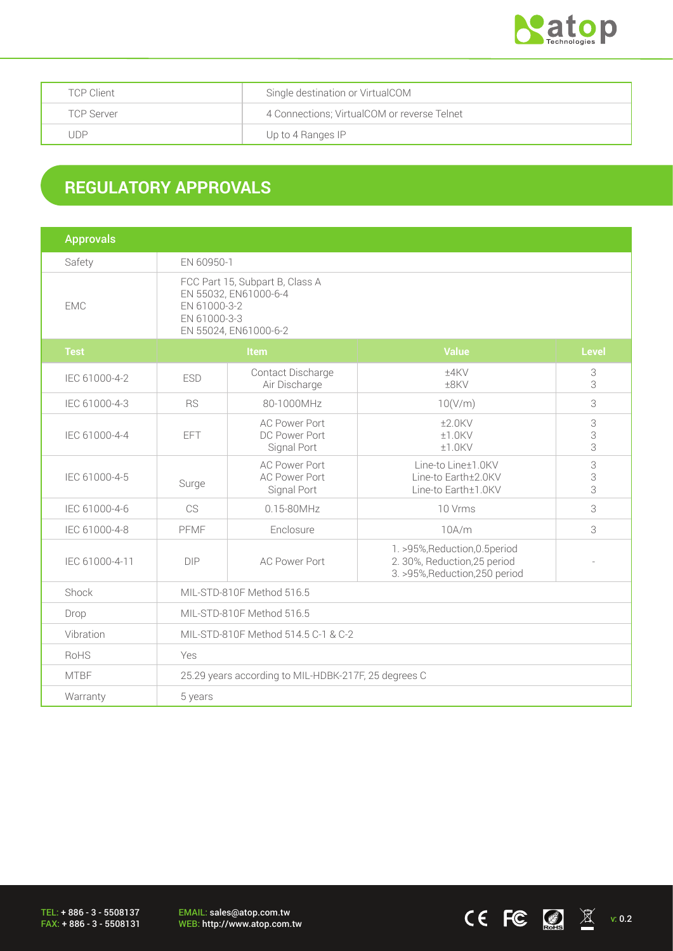

| <b>TCP Client</b> | Single destination or VirtualCOM            |
|-------------------|---------------------------------------------|
| <b>TCP Server</b> | 4 Connections; VirtualCOM or reverse Telnet |
| JDP               | Up to 4 Ranges IP                           |

## **REGULATORY APPROVALS**

| <b>Approvals</b> |                                                                                                                   |                                                             |                                                                                                  |                                      |  |
|------------------|-------------------------------------------------------------------------------------------------------------------|-------------------------------------------------------------|--------------------------------------------------------------------------------------------------|--------------------------------------|--|
| Safety           | EN 60950-1                                                                                                        |                                                             |                                                                                                  |                                      |  |
| <b>EMC</b>       | FCC Part 15, Subpart B, Class A<br>EN 55032, EN61000-6-4<br>EN 61000-3-2<br>EN 61000-3-3<br>EN 55024, EN61000-6-2 |                                                             |                                                                                                  |                                      |  |
| <b>Test</b>      | <b>Item</b>                                                                                                       |                                                             | <b>Value</b>                                                                                     | <b>Level</b>                         |  |
| IEC 61000-4-2    | <b>ESD</b>                                                                                                        | Contact Discharge<br>Air Discharge                          | ±4KV<br>±8KV                                                                                     | 3<br>3                               |  |
| IEC 61000-4-3    | <b>RS</b>                                                                                                         | 80-1000MHz                                                  | 10(V/m)                                                                                          | 3                                    |  |
| IEC 61000-4-4    | <b>EFT</b>                                                                                                        | <b>AC Power Port</b><br>DC Power Port<br>Signal Port        | $±2.0$ KV<br>$±1.0$ KV<br>±1.0KV                                                                 | $\ensuremath{\mathcal{S}}$<br>3<br>3 |  |
| IEC 61000-4-5    | Surge                                                                                                             | <b>AC Power Port</b><br><b>AC Power Port</b><br>Signal Port | Line-to Line±1.0KV<br>Line-to Earth±2.0KV<br>Line-to Earth±1.0KV                                 | $\ensuremath{\mathsf{3}}$<br>3<br>3  |  |
| IEC 61000-4-6    | CS                                                                                                                | 0.15-80MHz                                                  | 10 Vrms                                                                                          | 3                                    |  |
| IEC 61000-4-8    | PFMF                                                                                                              | Enclosure                                                   | 10A/m                                                                                            | 3                                    |  |
| IEC 61000-4-11   | <b>DIP</b>                                                                                                        | <b>AC Power Port</b>                                        | 1. >95%, Reduction, 0.5 period<br>2. 30%, Reduction, 25 period<br>3. >95%, Reduction, 250 period |                                      |  |
| Shock            | MIL-STD-810F Method 516.5                                                                                         |                                                             |                                                                                                  |                                      |  |
| Drop             | MIL-STD-810F Method 516.5                                                                                         |                                                             |                                                                                                  |                                      |  |
| Vibration        | MIL-STD-810F Method 514.5 C-1 & C-2                                                                               |                                                             |                                                                                                  |                                      |  |
| RoHS             | Yes                                                                                                               |                                                             |                                                                                                  |                                      |  |
| <b>MTBF</b>      | 25.29 years according to MIL-HDBK-217F, 25 degrees C                                                              |                                                             |                                                                                                  |                                      |  |
| Warranty         | 5 years                                                                                                           |                                                             |                                                                                                  |                                      |  |